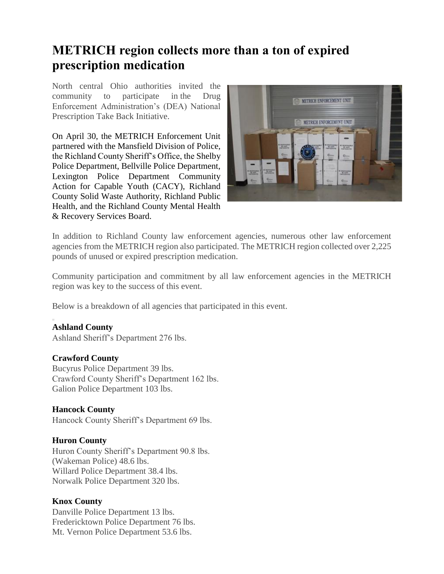# **METRICH region collects more than a ton of expired prescription medication**

North central Ohio authorities invited the community to participate in the Drug Enforcement Administration's (DEA) National Prescription Take Back Initiative.

On April 30, the METRICH Enforcement Unit partnered with the Mansfield Division of Police, the Richland County Sheriff's Office, the [Shelby](https://www.loc8nearme.com/ohio/shelby/shelby-police-department/6659130/)  [Police Department,](https://www.loc8nearme.com/ohio/shelby/shelby-police-department/6659130/) Bellville Police Department, Lexington Police Department Community Action for Capable Youth (CACY), Richland County Solid Waste Authority, Richland Public Health, and the Richland County Mental Health & Recovery Services Board.



In addition to Richland County law enforcement agencies, numerous other law enforcement agencies from the METRICH region also participated. The METRICH region collected over 2,225 pounds of unused or expired prescription medication.

Community participation and commitment by all law enforcement agencies in the METRICH region was key to the success of this event.

Below is a breakdown of all agencies that participated in this event.

# **Ashland County**

Ashland Sheriff's Department 276 lbs.

#### **Crawford County**

Bucyrus Police Department 39 lbs. Crawford County Sheriff's Department 162 lbs. Galion Police Department 103 lbs.

#### **Hancock County**

Hancock County Sheriff's Department 69 lbs.

#### **Huron County**

Huron County Sheriff's Department 90.8 lbs. (Wakeman Police) 48.6 lbs. Willard Police Department 38.4 lbs. Norwalk Police Department 320 lbs.

#### **Knox County**

Danville Police Department 13 lbs. Fredericktown Police Department 76 lbs. Mt. Vernon Police Department 53.6 lbs.